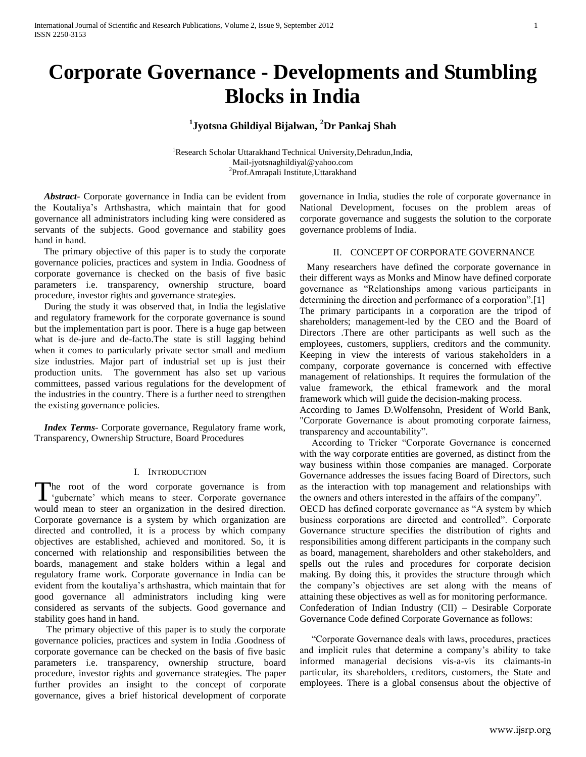# **Corporate Governance - Developments and Stumbling Blocks in India**

## **1 Jyotsna Ghildiyal Bijalwan, <sup>2</sup>Dr Pankaj Shah**

<sup>1</sup>Research Scholar Uttarakhand Technical University, Dehradun, India, Mail-jyotsnaghildiyal@yahoo.com <sup>2</sup>Prof.Amrapali Institute, Uttarakhand

 *Abstract***-** Corporate governance in India can be evident from the Koutaliya"s Arthshastra, which maintain that for good governance all administrators including king were considered as servants of the subjects. Good governance and stability goes hand in hand.

 The primary objective of this paper is to study the corporate governance policies, practices and system in India. Goodness of corporate governance is checked on the basis of five basic parameters i.e. transparency, ownership structure, board procedure, investor rights and governance strategies.

 During the study it was observed that, in India the legislative and regulatory framework for the corporate governance is sound but the implementation part is poor. There is a huge gap between what is de-jure and de-facto.The state is still lagging behind when it comes to particularly private sector small and medium size industries. Major part of industrial set up is just their production units. The government has also set up various committees, passed various regulations for the development of the industries in the country. There is a further need to strengthen the existing governance policies.

 *Index Terms*- Corporate governance, Regulatory frame work, Transparency, Ownership Structure, Board Procedures

#### I. INTRODUCTION

The root of the word corporate governance is from The root of the word corporate governance is from<br>
"gubernate" which means to steer. Corporate governance would mean to steer an organization in the desired direction. Corporate governance is a system by which organization are directed and controlled, it is a process by which company objectives are established, achieved and monitored. So, it is concerned with relationship and responsibilities between the boards, management and stake holders within a legal and regulatory frame work. Corporate governance in India can be evident from the koutaliya"s arthshastra, which maintain that for good governance all administrators including king were considered as servants of the subjects. Good governance and stability goes hand in hand.

 The primary objective of this paper is to study the corporate governance policies, practices and system in India .Goodness of corporate governance can be checked on the basis of five basic parameters i.e. transparency, ownership structure, board procedure, investor rights and governance strategies. The paper further provides an insight to the concept of corporate governance, gives a brief historical development of corporate

governance in India, studies the role of corporate governance in National Development, focuses on the problem areas of corporate governance and suggests the solution to the corporate governance problems of India.

#### II. CONCEPT OF CORPORATE GOVERNANCE

 Many researchers have defined the corporate governance in their different ways as Monks and Minow have defined corporate governance as "Relationships among various participants in determining the direction and performance of a corporation".[1] The primary participants in a corporation are the tripod of shareholders; management-led by the CEO and the Board of Directors .There are other participants as well such as the employees, customers, suppliers, creditors and the community. Keeping in view the interests of various stakeholders in a company, corporate governance is concerned with effective management of relationships. It requires the formulation of the value framework, the ethical framework and the moral framework which will guide the decision-making process.

According to James D.Wolfensohn, President of World Bank, "Corporate Governance is about promoting corporate fairness, transparency and accountability".

 According to Tricker "Corporate Governance is concerned with the way corporate entities are governed, as distinct from the way business within those companies are managed. Corporate Governance addresses the issues facing Board of Directors, such as the interaction with top management and relationships with the owners and others interested in the affairs of the company". OECD has defined corporate governance as "A system by which

business corporations are directed and controlled". Corporate Governance structure specifies the distribution of rights and responsibilities among different participants in the company such as board, management, shareholders and other stakeholders, and spells out the rules and procedures for corporate decision making. By doing this, it provides the structure through which the company"s objectives are set along with the means of attaining these objectives as well as for monitoring performance. Confederation of Indian Industry (CII) – Desirable Corporate Governance Code defined Corporate Governance as follows:

 "Corporate Governance deals with laws, procedures, practices and implicit rules that determine a company"s ability to take informed managerial decisions vis-a-vis its claimants-in particular, its shareholders, creditors, customers, the State and employees. There is a global consensus about the objective of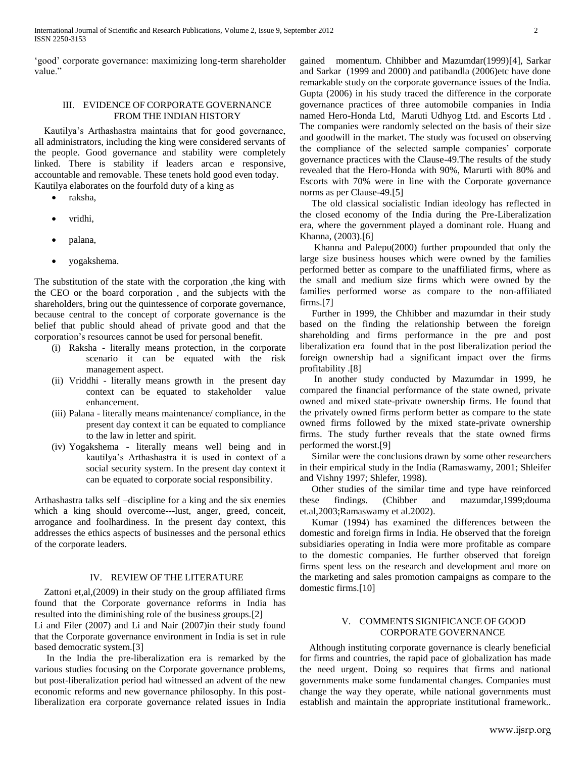"good" corporate governance: maximizing long-term shareholder value."

#### III. EVIDENCE OF CORPORATE GOVERNANCE FROM THE INDIAN HISTORY

 Kautilya"s Arthashastra maintains that for good governance, all administrators, including the king were considered servants of the people. Good governance and stability were completely linked. There is stability if leaders arcan e responsive, accountable and removable. These tenets hold good even today. Kautilya elaborates on the fourfold duty of a king as

- raksha,
- vridhi,
- palana,
- yogakshema.

The substitution of the state with the corporation ,the king with the CEO or the board corporation , and the subjects with the shareholders, bring out the quintessence of corporate governance, because central to the concept of corporate governance is the belief that public should ahead of private good and that the corporation"s resources cannot be used for personal benefit.

- (i) Raksha literally means protection, in the corporate scenario it can be equated with the risk management aspect.
- (ii) Vriddhi literally means growth in the present day context can be equated to stakeholder value enhancement.
- (iii) Palana literally means maintenance/ compliance, in the present day context it can be equated to compliance to the law in letter and spirit.
- (iv) Yogakshema literally means well being and in kautilya"s Arthashastra it is used in context of a social security system. In the present day context it can be equated to corporate social responsibility.

Arthashastra talks self –discipline for a king and the six enemies which a king should overcome---lust, anger, greed, conceit, arrogance and foolhardiness. In the present day context, this addresses the ethics aspects of businesses and the personal ethics of the corporate leaders.

#### IV. REVIEW OF THE LITERATURE

 Zattoni et,al,(2009) in their study on the group affiliated firms found that the Corporate governance reforms in India has resulted into the diminishing role of the business groups.[2]

Li and Filer (2007) and Li and Nair (2007)in their study found that the Corporate governance environment in India is set in rule based democratic system.[3]

 In the India the pre-liberalization era is remarked by the various studies focusing on the Corporate governance problems, but post-liberalization period had witnessed an advent of the new economic reforms and new governance philosophy. In this postliberalization era corporate governance related issues in India

gained momentum. Chhibber and Mazumdar(1999)[4], Sarkar and Sarkar (1999 and 2000) and patibandla (2006)etc have done remarkable study on the corporate governance issues of the India. Gupta (2006) in his study traced the difference in the corporate governance practices of three automobile companies in India named Hero-Honda Ltd, Maruti Udhyog Ltd. and Escorts Ltd . The companies were randomly selected on the basis of their size and goodwill in the market. The study was focused on observing the compliance of the selected sample companies" corporate governance practices with the Clause-49.The results of the study revealed that the Hero-Honda with 90%, Marurti with 80% and Escorts with 70% were in line with the Corporate governance norms as per Clause-49.[5]

 The old classical socialistic Indian ideology has reflected in the closed economy of the India during the Pre-Liberalization era, where the government played a dominant role. Huang and Khanna, (2003).[6]

 Khanna and Palepu(2000) further propounded that only the large size business houses which were owned by the families performed better as compare to the unaffiliated firms, where as the small and medium size firms which were owned by the families performed worse as compare to the non-affiliated firms.[7]

 Further in 1999, the Chhibber and mazumdar in their study based on the finding the relationship between the foreign shareholding and firms performance in the pre and post liberalization era found that in the post liberalization period the foreign ownership had a significant impact over the firms profitability .[8]

 In another study conducted by Mazumdar in 1999, he compared the financial performance of the state owned, private owned and mixed state-private ownership firms. He found that the privately owned firms perform better as compare to the state owned firms followed by the mixed state-private ownership firms. The study further reveals that the state owned firms performed the worst.[9]

 Similar were the conclusions drawn by some other researchers in their empirical study in the India (Ramaswamy, 2001; Shleifer and Vishny 1997; Shlefer, 1998).

 Other studies of the similar time and type have reinforced these findings. (Chibber and mazumdar,1999;douma et.al,2003;Ramaswamy et al.2002).

 Kumar (1994) has examined the differences between the domestic and foreign firms in India. He observed that the foreign subsidiaries operating in India were more profitable as compare to the domestic companies. He further observed that foreign firms spent less on the research and development and more on the marketing and sales promotion campaigns as compare to the domestic firms.[10]

#### V. COMMENTS SIGNIFICANCE OF GOOD CORPORATE GOVERNANCE

 Although instituting corporate governance is clearly beneficial for firms and countries, the rapid pace of globalization has made the need urgent. Doing so requires that firms and national governments make some fundamental changes. Companies must change the way they operate, while national governments must establish and maintain the appropriate institutional framework..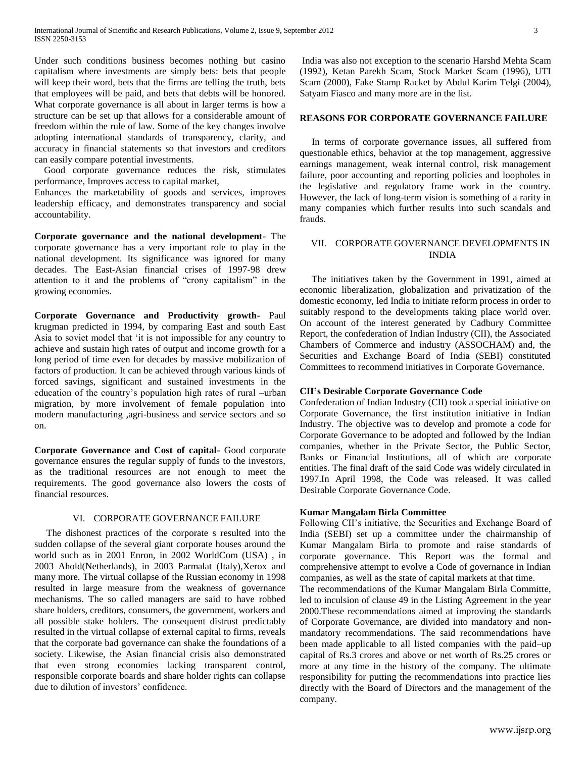Under such conditions business becomes nothing but casino capitalism where investments are simply bets: bets that people will keep their word, bets that the firms are telling the truth, bets that employees will be paid, and bets that debts will be honored. What corporate governance is all about in larger terms is how a structure can be set up that allows for a considerable amount of freedom within the rule of law. Some of the key changes involve adopting international standards of transparency, clarity, and accuracy in financial statements so that investors and creditors can easily compare potential investments.

 Good corporate governance reduces the risk, stimulates performance, Improves access to capital market,

Enhances the marketability of goods and services, improves leadership efficacy, and demonstrates transparency and social accountability.

**Corporate governance and the national development-** The corporate governance has a very important role to play in the national development. Its significance was ignored for many decades. The East-Asian financial crises of 1997-98 drew attention to it and the problems of "crony capitalism" in the growing economies.

**Corporate Governance and Productivity growth-** Paul krugman predicted in 1994, by comparing East and south East Asia to soviet model that "it is not impossible for any country to achieve and sustain high rates of output and income growth for a long period of time even for decades by massive mobilization of factors of production. It can be achieved through various kinds of forced savings, significant and sustained investments in the education of the country"s population high rates of rural –urban migration, by more involvement of female population into modern manufacturing ,agri-business and service sectors and so on.

**Corporate Governance and Cost of capital-** Good corporate governance ensures the regular supply of funds to the investors, as the traditional resources are not enough to meet the requirements. The good governance also lowers the costs of financial resources.

### VI. CORPORATE GOVERNANCE FAILURE

 The dishonest practices of the corporate s resulted into the sudden collapse of the several giant corporate houses around the world such as in 2001 Enron, in 2002 WorldCom (USA) , in 2003 Ahold(Netherlands), in 2003 Parmalat (Italy),Xerox and many more. The virtual collapse of the Russian economy in 1998 resulted in large measure from the weakness of governance mechanisms. The so called managers are said to have robbed share holders, creditors, consumers, the government, workers and all possible stake holders. The consequent distrust predictably resulted in the virtual collapse of external capital to firms, reveals that the corporate bad governance can shake the foundations of a society. Likewise, the Asian financial crisis also demonstrated that even strong economies lacking transparent control, responsible corporate boards and share holder rights can collapse due to dilution of investors' confidence.

India was also not exception to the scenario Harshd Mehta Scam (1992), Ketan Parekh Scam, Stock Market Scam (1996), UTI Scam (2000), Fake Stamp Racket by Abdul Karim Telgi (2004), Satyam Fiasco and many more are in the list.

#### **REASONS FOR CORPORATE GOVERNANCE FAILURE**

In terms of corporate governance issues, all suffered from questionable ethics, behavior at the top management, aggressive earnings management, weak internal control, risk management failure, poor accounting and reporting policies and loopholes in the legislative and regulatory frame work in the country. However, the lack of long-term vision is something of a rarity in many companies which further results into such scandals and frauds.

### VII. CORPORATE GOVERNANCE DEVELOPMENTS IN INDIA

 The initiatives taken by the Government in 1991, aimed at economic liberalization, globalization and privatization of the domestic economy, led India to initiate reform process in order to suitably respond to the developments taking place world over. On account of the interest generated by Cadbury Committee Report, the confederation of Indian Industry (CII), the Associated Chambers of Commerce and industry (ASSOCHAM) and, the Securities and Exchange Board of India (SEBI) constituted Committees to recommend initiatives in Corporate Governance.

#### **CII's Desirable Corporate Governance Code**

Confederation of Indian Industry (CII) took a special initiative on Corporate Governance, the first institution initiative in Indian Industry. The objective was to develop and promote a code for Corporate Governance to be adopted and followed by the Indian companies, whether in the Private Sector, the Public Sector, Banks or Financial Institutions, all of which are corporate entities. The final draft of the said Code was widely circulated in 1997.In April 1998, the Code was released. It was called Desirable Corporate Governance Code.

#### **Kumar Mangalam Birla Committee**

Following CII"s initiative, the Securities and Exchange Board of India (SEBI) set up a committee under the chairmanship of Kumar Mangalam Birla to promote and raise standards of corporate governance. This Report was the formal and comprehensive attempt to evolve a Code of governance in Indian companies, as well as the state of capital markets at that time.

The recommendations of the Kumar Mangalam Birla Committe, led to inculsion of clause 49 in the Listing Agreement in the year 2000.These recommendations aimed at improving the standards of Corporate Governance, are divided into mandatory and nonmandatory recommendations. The said recommendations have been made applicable to all listed companies with the paid–up capital of Rs.3 crores and above or net worth of Rs.25 crores or more at any time in the history of the company. The ultimate responsibility for putting the recommendations into practice lies directly with the Board of Directors and the management of the company.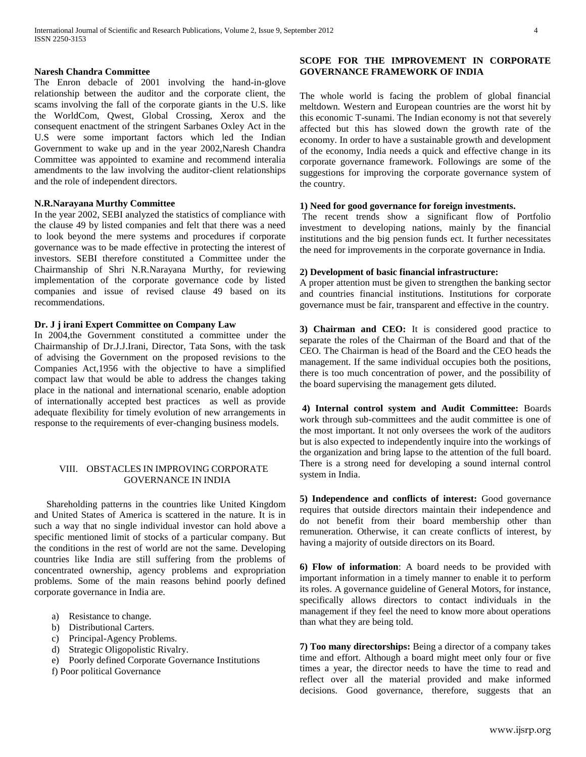#### **Naresh Chandra Committee**

The Enron debacle of 2001 involving the hand-in-glove relationship between the auditor and the corporate client, the scams involving the fall of the corporate giants in the U.S. like the WorldCom, Qwest, Global Crossing, Xerox and the consequent enactment of the stringent Sarbanes Oxley Act in the U.S were some important factors which led the Indian Government to wake up and in the year 2002,Naresh Chandra Committee was appointed to examine and recommend interalia amendments to the law involving the auditor-client relationships and the role of independent directors.

#### **N.R.Narayana Murthy Committee**

In the year 2002, SEBI analyzed the statistics of compliance with the clause 49 by listed companies and felt that there was a need to look beyond the mere systems and procedures if corporate governance was to be made effective in protecting the interest of investors. SEBI therefore constituted a Committee under the Chairmanship of Shri N.R.Narayana Murthy, for reviewing implementation of the corporate governance code by listed companies and issue of revised clause 49 based on its recommendations.

#### **Dr. J j irani Expert Committee on Company Law**

In 2004,the Government constituted a committee under the Chairmanship of Dr.J.J.Irani, Director, Tata Sons, with the task of advising the Government on the proposed revisions to the Companies Act,1956 with the objective to have a simplified compact law that would be able to address the changes taking place in the national and international scenario, enable adoption of internationally accepted best practices as well as provide adequate flexibility for timely evolution of new arrangements in response to the requirements of ever-changing business models.

#### VIII. OBSTACLES IN IMPROVING CORPORATE GOVERNANCE IN INDIA

 Shareholding patterns in the countries like United Kingdom and United States of America is scattered in the nature. It is in such a way that no single individual investor can hold above a specific mentioned limit of stocks of a particular company. But the conditions in the rest of world are not the same. Developing countries like India are still suffering from the problems of concentrated ownership, agency problems and expropriation problems. Some of the main reasons behind poorly defined corporate governance in India are.

- a) Resistance to change.
- b) Distributional Carters.
- c) Principal-Agency Problems.
- d) Strategic Oligopolistic Rivalry.
- e) Poorly defined Corporate Governance Institutions

f) Poor political Governance

#### **SCOPE FOR THE IMPROVEMENT IN CORPORATE GOVERNANCE FRAMEWORK OF INDIA**

The whole world is facing the problem of global financial meltdown. Western and European countries are the worst hit by this economic T-sunami. The Indian economy is not that severely affected but this has slowed down the growth rate of the economy. In order to have a sustainable growth and development of the economy, India needs a quick and effective change in its corporate governance framework. Followings are some of the suggestions for improving the corporate governance system of the country.

#### **1) Need for good governance for foreign investments.**

The recent trends show a significant flow of Portfolio investment to developing nations, mainly by the financial institutions and the big pension funds ect. It further necessitates the need for improvements in the corporate governance in India.

#### **2) Development of basic financial infrastructure:**

A proper attention must be given to strengthen the banking sector and countries financial institutions. Institutions for corporate governance must be fair, transparent and effective in the country.

**3) Chairman and CEO:** It is considered good practice to separate the roles of the Chairman of the Board and that of the CEO. The Chairman is head of the Board and the CEO heads the management. If the same individual occupies both the positions, there is too much concentration of power, and the possibility of the board supervising the management gets diluted.

**4) Internal control system and Audit Committee:** Boards work through sub-committees and the audit committee is one of the most important. It not only oversees the work of the auditors but is also expected to independently inquire into the workings of the organization and bring lapse to the attention of the full board. There is a strong need for developing a sound internal control system in India.

**5) Independence and conflicts of interest:** Good governance requires that outside directors maintain their independence and do not benefit from their board membership other than remuneration. Otherwise, it can create conflicts of interest, by having a majority of outside directors on its Board.

**6) Flow of information**: A board needs to be provided with important information in a timely manner to enable it to perform its roles. A governance guideline of General Motors, for instance, specifically allows directors to contact individuals in the management if they feel the need to know more about operations than what they are being told.

**7) Too many directorships:** Being a director of a company takes time and effort. Although a board might meet only four or five times a year, the director needs to have the time to read and reflect over all the material provided and make informed decisions. Good governance, therefore, suggests that an